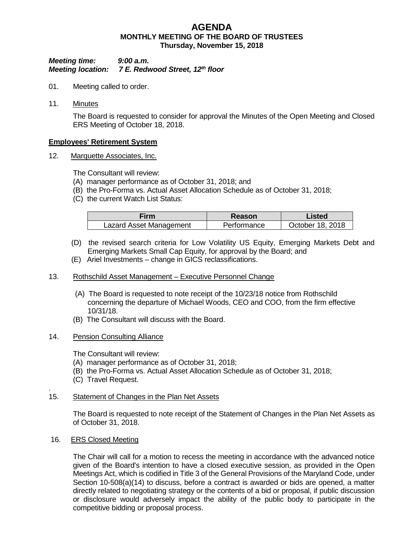# **AGENDA MONTHLY MEETING OF THE BOARD OF TRUSTEES Thursday, November 15, 2018**

#### *Meeting time: 9:00 a.m. Meeting location: 7 E. Redwood Street, 12th floor*

- 01. Meeting called to order.
- 11. Minutes

The Board is requested to consider for approval the Minutes of the Open Meeting and Closed ERS Meeting of October 18, 2018.

## **Employees' Retirement System**

12. Marquette Associates, Inc.

The Consultant will review:

- (A) manager performance as of October 31, 2018; and
- (B) the Pro-Forma vs. Actual Asset Allocation Schedule as of October 31, 2018;
- (C) the current Watch List Status:

| Firm                    | Reason      | Listed           |
|-------------------------|-------------|------------------|
| Lazard Asset Management | Performance | October 18, 2018 |

- (D) the revised search criteria for Low Volatility US Equity, Emerging Markets Debt and Emerging Markets Small Cap Equity, for approval by the Board; and
- (E) Ariel Investments change in GICS reclassifications.

#### 13. Rothschild Asset Management – Executive Personnel Change

- (A) The Board is requested to note receipt of the 10/23/18 notice from Rothschild concerning the departure of Michael Woods, CEO and COO, from the firm effective 10/31/18.
- (B) The Consultant will discuss with the Board.

#### 14. Pension Consulting Alliance

The Consultant will review:

- (A) manager performance as of October 31, 2018;
- (B) the Pro-Forma vs. Actual Asset Allocation Schedule as of October 31, 2018;
- (C) Travel Request.

#### 15. Statement of Changes in the Plan Net Assets

The Board is requested to note receipt of the Statement of Changes in the Plan Net Assets as of October 31, 2018.

16. ERS Closed Meeting

.

The Chair will call for a motion to recess the meeting in accordance with the advanced notice given of the Board's intention to have a closed executive session, as provided in the Open Meetings Act, which is codified in Title 3 of the General Provisions of the Maryland Code, under Section 10-508(a)(14) to discuss, before a contract is awarded or bids are opened, a matter directly related to negotiating strategy or the contents of a bid or proposal, if public discussion or disclosure would adversely impact the ability of the public body to participate in the competitive bidding or proposal process.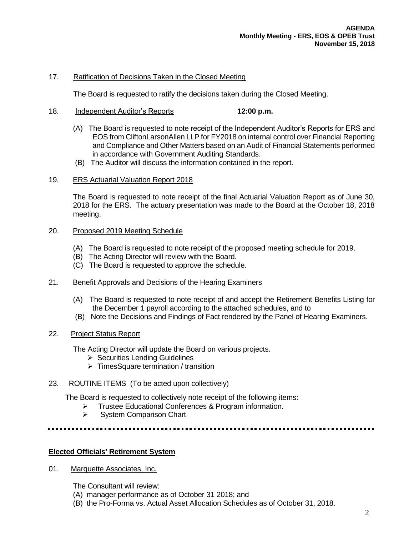#### 17. Ratification of Decisions Taken in the Closed Meeting

The Board is requested to ratify the decisions taken during the Closed Meeting.

- 18. Independent Auditor's Reports **12:00 p.m.**
	- (A) The Board is requested to note receipt of the Independent Auditor's Reports for ERS and EOS from CliftonLarsonAllen LLP for FY2018 on internal control over Financial Reporting and Compliance and Other Matters based on an Audit of Financial Statements performed in accordance with Government Auditing Standards.
	- (B) The Auditor will discuss the information contained in the report.
- 19. ERS Actuarial Valuation Report 2018

The Board is requested to note receipt of the final Actuarial Valuation Report as of June 30, 2018 for the ERS. The actuary presentation was made to the Board at the October 18, 2018 meeting.

## 20. Proposed 2019 Meeting Schedule

- (A) The Board is requested to note receipt of the proposed meeting schedule for 2019.
- (B) The Acting Director will review with the Board.
- (C) The Board is requested to approve the schedule.
- 21. Benefit Approvals and Decisions of the Hearing Examiners
	- (A) The Board is requested to note receipt of and accept the Retirement Benefits Listing for the December 1 payroll according to the attached schedules, and to
	- (B) Note the Decisions and Findings of Fact rendered by the Panel of Hearing Examiners.
- 22. Project Status Report

The Acting Director will update the Board on various projects.

- $\triangleright$  Securities Lending Guidelines
- $\triangleright$  TimesSquare termination / transition
- 23. ROUTINE ITEMS (To be acted upon collectively)

The Board is requested to collectively note receipt of the following items:

- > Trustee Educational Conferences & Program information.
- $\triangleright$  System Comparison Chart

## **Elected Officials' Retirement System**

01. Marquette Associates, Inc.

The Consultant will review:

- (A) manager performance as of October 31 2018; and
- (B) the Pro-Forma vs. Actual Asset Allocation Schedules as of October 31, 2018.